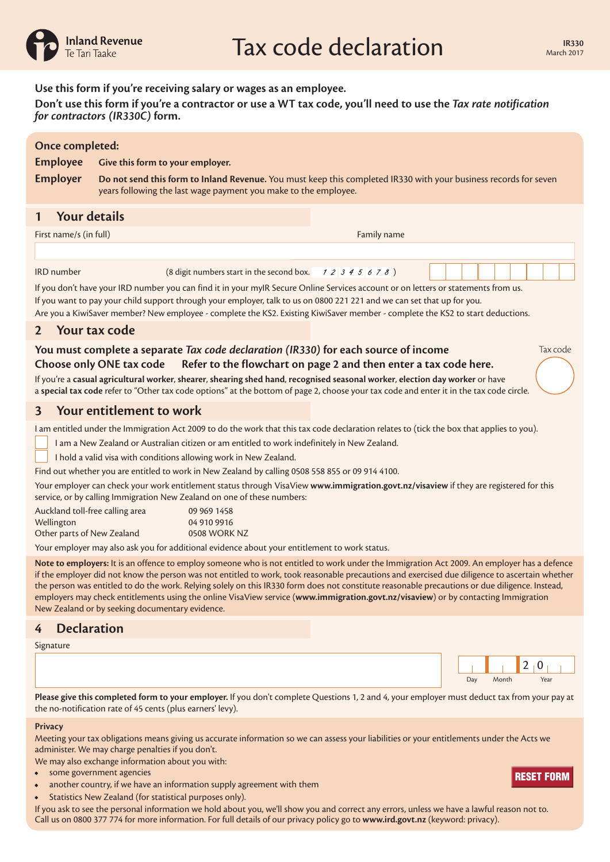

Tax code

|                 | Use this form if you're receiving salary or wages as an employee.<br>Don't use this form if you're a contractor or use a WT tax code, you'll need to use the Tax rate notification<br>for contractors (IR330C) form. |
|-----------------|----------------------------------------------------------------------------------------------------------------------------------------------------------------------------------------------------------------------|
| Once completed: |                                                                                                                                                                                                                      |
| <b>Employee</b> | Give this form to your employer.                                                                                                                                                                                     |
| <b>Employer</b> | Do not send this form to Inland Revenue. You must keep this completed IR330 with your business records for seven<br>years following the last wage payment you make to the employee.                                  |
|                 |                                                                                                                                                                                                                      |

# **1 Your details**

| First name/s (in full) |                                                               | Family name |  |
|------------------------|---------------------------------------------------------------|-------------|--|
|                        |                                                               |             |  |
| <b>IRD</b> number      | $(8 \text{ digit numbers start in the second box.} 12345678)$ |             |  |

If you don't have your IRD number you can find it in your myIR Secure Online Services account or on letters or statements from us.

If you want to pay your child support through your employer, talk to us on 0800 221 221 and we can set that up for you.

Are you a KiwiSaver member? New employee - complete the KS2. Existing KiwiSaver member - complete the KS2 to start deductions.

## **2 Your tax code**

#### **You must complete a separate** *Tax code declaration (IR330)* **for each source of income Choose only ONE tax code Refer to the flowchart on page 2 and then enter a tax code here.**

If you're a **casual agricultural worker**, **shearer**, **shearing shed hand**, **recognised seasonal worker**, **election day worker** or have a **special tax code** refer to "Other tax code options" at the bottom of page 2, choose your tax code and enter it in the tax code circle.

#### **3 Your entitlement to work**

I am entitled under the Immigration Act 2009 to do the work that this tax code declaration relates to (tick the box that applies to you).

I am a New Zealand or Australian citizen or am entitled to work indefinitely in New Zealand.

I hold a valid visa with conditions allowing work in New Zealand.

Find out whether you are entitled to work in New Zealand by calling 0508 558 855 or 09 914 4100.

Your employer can check your work entitlement status through VisaView **www.immigration.govt.nz/visaview** if they are registered for this service, or by calling Immigration New Zealand on one of these numbers:

| Auckland toll-free calling area | 09 969 1458  |
|---------------------------------|--------------|
| Wellington                      | 04 910 9916  |
| Other parts of New Zealand      | 0508 WORK NZ |

Your employer may also ask you for additional evidence about your entitlement to work status.

**Note to employers:** It is an offence to employ someone who is not entitled to work under the Immigration Act 2009. An employer has a defence if the employer did not know the person was not entitled to work, took reasonable precautions and exercised due diligence to ascertain whether the person was entitled to do the work. Relying solely on this IR330 form does not constitute reasonable precautions or due diligence. Instead, employers may check entitlements using the online VisaView service (**www.immigration.govt.nz/visaview**) or by contacting Immigration New Zealand or by seeking documentary evidence.

## **4 Declaration**

Signature



**Please give this completed form to your employer.** If you don't complete Questions 1, 2 and 4, your employer must deduct tax from your pay at the no-notification rate of 45 cents (plus earners' levy).

#### **Privacy**

Meeting your tax obligations means giving us accurate information so we can assess your liabilities or your entitlements under the Acts we administer. We may charge penalties if you don't.

We may also exchange information about you with:

- some government agencies
- another country, if we have an information supply agreement with them
- Statistics New Zealand (for statistical purposes only).

If you ask to see the personal information we hold about you, we'll show you and correct any errors, unless we have a lawful reason not to. onder government agencies<br>• another country, if we have an information supply agreement with them<br>• Statistics New Zealand (for statistical purposes only).<br>If you ask to see the personal information we hold about you, we'l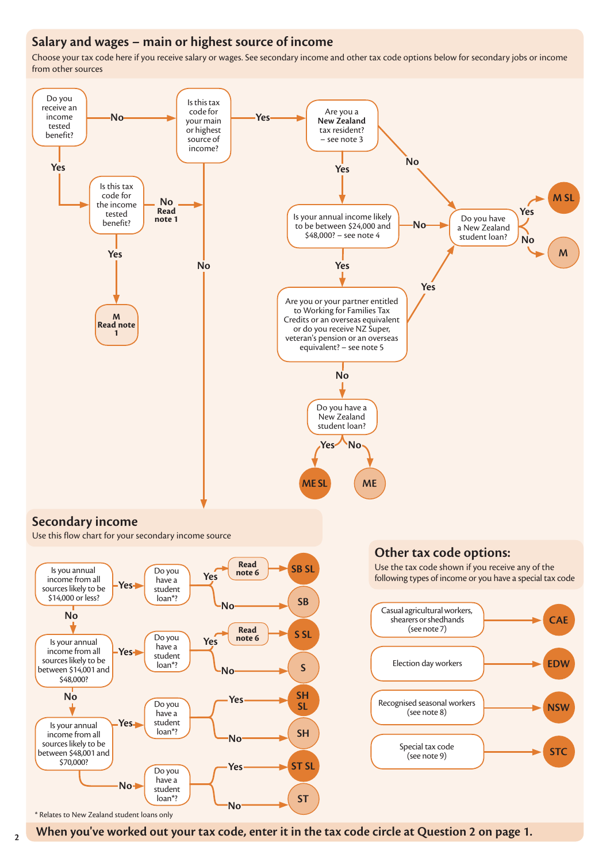# **Salary and wages – main or highest source of income**

Choose your tax code here if you receive salary or wages. See secondary income and other tax code options below for secondary jobs or income from other sources